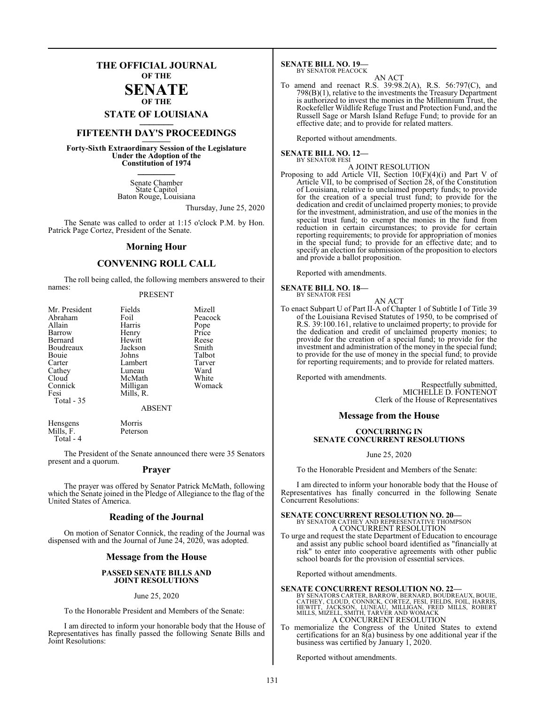## **THE OFFICIAL JOURNAL OF THE**

#### **SENATE OF THE**

**STATE OF LOUISIANA \_\_\_\_\_\_\_**

## **FIFTEENTH DAY'S PROCEEDINGS \_\_\_\_\_\_\_**

**Forty-Sixth Extraordinary Session of the Legislature Under the Adoption of the Constitution of 1974 \_\_\_\_\_\_\_**

> Senate Chamber State Capitol Baton Rouge, Louisiana

> > Thursday, June 25, 2020

The Senate was called to order at 1:15 o'clock P.M. by Hon. Patrick Page Cortez, President of the Senate.

#### **Morning Hour**

## **CONVENING ROLL CALL**

The roll being called, the following members answered to their names:

#### PRESENT

| Mr. President | Fields        | Mizell  |
|---------------|---------------|---------|
| Abraham       | Foil          | Peacock |
| Allain        | Harris        | Pope    |
| Barrow        | Henry         | Price   |
| Bernard       | Hewitt        | Reese   |
| Boudreaux     | Jackson       | Smith   |
| Bouie         | Johns         | Talbot  |
| Carter        | Lambert       | Tarver  |
| Cathey        | Luneau        | Ward    |
| Cloud         | McMath        | White   |
| Connick       | Milligan      | Womack  |
| Fesi          | Mills, R.     |         |
| Total - 35    |               |         |
|               | <b>ABSENT</b> |         |

Hensgens Morris<br>Mills, F. Peterson Mills, F. Total - 4

The President of the Senate announced there were 35 Senators present and a quorum.

#### **Prayer**

The prayer was offered by Senator Patrick McMath, following which the Senate joined in the Pledge of Allegiance to the flag of the United States of America.

#### **Reading of the Journal**

On motion of Senator Connick, the reading of the Journal was dispensed with and the Journal of June 24, 2020, was adopted.

#### **Message from the House**

#### **PASSED SENATE BILLS AND JOINT RESOLUTIONS**

#### June 25, 2020

To the Honorable President and Members of the Senate:

I am directed to inform your honorable body that the House of Representatives has finally passed the following Senate Bills and Joint Resolutions:

#### **SENATE BILL NO. 19—** BY SENATOR PEACOCK

AN ACT

To amend and reenact R.S. 39:98.2(A), R.S. 56:797(C), and 798(B)(1), relative to the investments the Treasury Department is authorized to invest the monies in the Millennium Trust, the Rockefeller Wildlife Refuge Trust and Protection Fund, and the Russell Sage or Marsh Island Refuge Fund; to provide for an effective date; and to provide for related matters.

Reported without amendments.

#### **SENATE BILL NO. 12—** BY SENATOR FESI

#### A JOINT RESOLUTION

Proposing to add Article VII, Section 10(F)(4)(i) and Part V of Article VII, to be comprised of Section 28, of the Constitution of Louisiana, relative to unclaimed property funds; to provide for the creation of a special trust fund; to provide for the dedication and credit of unclaimed property monies; to provide for the investment, administration, and use of the monies in the special trust fund; to exempt the monies in the fund from reduction in certain circumstances; to provide for certain reporting requirements; to provide for appropriation of monies in the special fund; to provide for an effective date; and to specify an election for submission of the proposition to electors and provide a ballot proposition.

Reported with amendments.

#### **SENATE BILL NO. 18—**

- BY SENATOR FESI
- AN ACT To enact Subpart U of Part II-A of Chapter 1 of Subtitle I of Title 39 of the Louisiana Revised Statutes of 1950, to be comprised of R.S. 39:100.161, relative to unclaimed property; to provide for the dedication and credit of unclaimed property monies; to provide for the creation of a special fund; to provide for the investment and administration of the money in the special fund; to provide for the use of money in the special fund; to provide for reporting requirements; and to provide for related matters.

Reported with amendments.

Respectfully submitted, MICHELLE D. FONTENOT Clerk of the House of Representatives

## **Message from the House**

#### **CONCURRING IN SENATE CONCURRENT RESOLUTIONS**

June 25, 2020

To the Honorable President and Members of the Senate:

I am directed to inform your honorable body that the House of Representatives has finally concurred in the following Senate Concurrent Resolutions:

**SENATE CONCURRENT RESOLUTION NO. 20—**<br>BY SENATOR CATHEY AND REPRESENTATIVE THOMPSON<br>A CONCURRENT RESOLUTION

To urge and request the state Department of Education to encourage and assist any public school board identified as "financially at risk" to enter into cooperative agreements with other public school boards for the provision of essential services.

Reported without amendments.

SENATE CONCURRENT RESOLUTION NO. 22—<br>BY SENATORS CARTER, BARROW, BERNARD, BOUDREAUX, BOUJE,<br>CATHEY, CLOUD, CONNICK, CORTEZ, FESI, FIELDS, FOIL, HARRIS,<br>HEWITT, JACKSON, LUNEAU, MILLIGAN, FRED MILLS, ROBERT<br>MILLS, MIZELL, S A CONCURRENT RESOLUTION

To memorialize the Congress of the United States to extend certifications for an 8(a) business by one additional year if the business was certified by January 1, 2020.

Reported without amendments.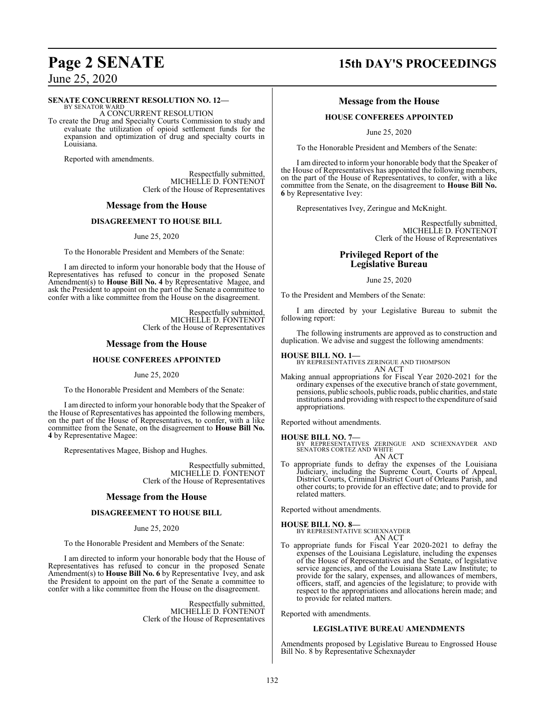June 25, 2020

#### **SENATE CONCURRENT RESOLUTION NO. 12—**

BY SENATOR WARD A CONCURRENT RESOLUTION

To create the Drug and Specialty Courts Commission to study and evaluate the utilization of opioid settlement funds for the expansion and optimization of drug and specialty courts in Louisiana.

Reported with amendments.

Respectfully submitted, MICHELLE D. FONTENOT Clerk of the House of Representatives

#### **Message from the House**

#### **DISAGREEMENT TO HOUSE BILL**

June 25, 2020

To the Honorable President and Members of the Senate:

I am directed to inform your honorable body that the House of Representatives has refused to concur in the proposed Senate Amendment(s) to **House Bill No. 4** by Representative Magee, and ask the President to appoint on the part of the Senate a committee to confer with a like committee from the House on the disagreement.

> Respectfully submitted, MICHELLE D. FONTENOT Clerk of the House of Representatives

#### **Message from the House**

#### **HOUSE CONFEREES APPOINTED**

June 25, 2020

To the Honorable President and Members of the Senate:

I am directed to inform your honorable body that the Speaker of the House of Representatives has appointed the following members, on the part of the House of Representatives, to confer, with a like committee from the Senate, on the disagreement to **House Bill No. 4** by Representative Magee:

Representatives Magee, Bishop and Hughes.

Respectfully submitted, MICHELLE D. FONTENOT Clerk of the House of Representatives

#### **Message from the House**

#### **DISAGREEMENT TO HOUSE BILL**

June 25, 2020

To the Honorable President and Members of the Senate:

I am directed to inform your honorable body that the House of Representatives has refused to concur in the proposed Senate Amendment(s) to **House Bill No. 6** by Representative Ivey, and ask the President to appoint on the part of the Senate a committee to confer with a like committee from the House on the disagreement.

> Respectfully submitted, MICHELLE D. FONTENOT Clerk of the House of Representatives

# **Page 2 SENATE 15th DAY'S PROCEEDINGS**

## **Message from the House**

#### **HOUSE CONFEREES APPOINTED**

June 25, 2020

To the Honorable President and Members of the Senate:

I am directed to inform your honorable body that the Speaker of the House of Representatives has appointed the following members, on the part of the House of Representatives, to confer, with a like committee from the Senate, on the disagreement to **House Bill No. 6** by Representative Ivey:

Representatives Ivey, Zeringue and McKnight.

Respectfully submitted, MICHELLE D. FONTENOT Clerk of the House of Representatives

#### **Privileged Report of the Legislative Bureau**

June 25, 2020

To the President and Members of the Senate:

I am directed by your Legislative Bureau to submit the following report:

The following instruments are approved as to construction and duplication. We advise and suggest the following amendments:

**HOUSE BILL NO. 1—** BY REPRESENTATIVES ZERINGUE AND THOMPSON

AN ACT Making annual appropriations for Fiscal Year 2020-2021 for the ordinary expenses of the executive branch of state government, pensions, public schools, public roads, public charities, and state institutions and providing with respect to the expenditure ofsaid appropriations.

Reported without amendments.

**HOUSE BILL NO. 7—**<br>BY REPRESENTATIVES ZERINGUE AND SCHEXNAYDER AND SENATORS CORTEZ AND WHITE AN ACT

To appropriate funds to defray the expenses of the Louisiana Judiciary, including the Supreme Court, Courts of Appeal, District Courts, Criminal District Court of Orleans Parish, and other courts; to provide for an effective date; and to provide for related matters.

Reported without amendments.

**HOUSE BILL NO. 8—** BY REPRESENTATIVE SCHEXNAYDER AN ACT

To appropriate funds for Fiscal Year 2020-2021 to defray the expenses of the Louisiana Legislature, including the expenses of the House of Representatives and the Senate, of legislative service agencies, and of the Louisiana State Law Institute; to provide for the salary, expenses, and allowances of members, officers, staff, and agencies of the legislature; to provide with respect to the appropriations and allocations herein made; and to provide for related matters.

Reported with amendments.

#### **LEGISLATIVE BUREAU AMENDMENTS**

Amendments proposed by Legislative Bureau to Engrossed House Bill No. 8 by Representative Schexnayder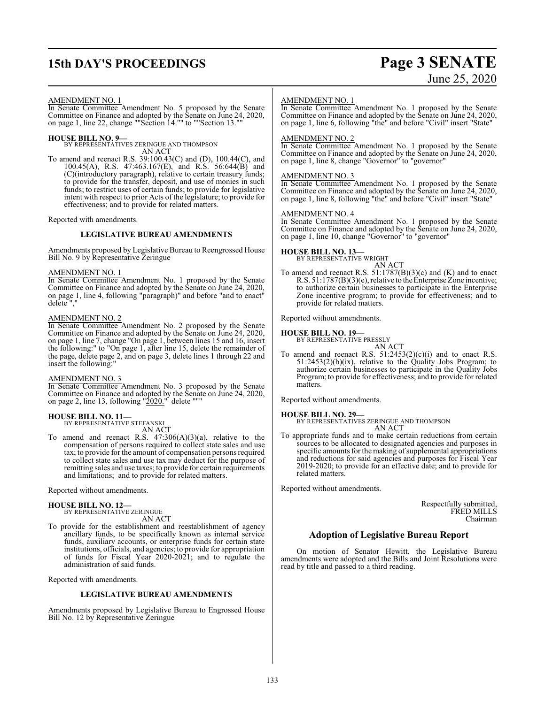# **15th DAY'S PROCEEDINGS Page 3 SENATE**

# June 25, 2020

#### AMENDMENT NO. 1

In Senate Committee Amendment No. 5 proposed by the Senate Committee on Finance and adopted by the Senate on June 24, 2020, on page 1, line 22, change ""Section 14."" to ""Section 13.""

#### **HOUSE BILL NO. 9—**

BY REPRESENTATIVES ZERINGUE AND THOMPSON AN ACT

To amend and reenact R.S. 39:100.43(C) and (D), 100.44(C), and 100.45(A), R.S. 47:463.167(E), and R.S. 56:644(B) and (C)(introductory paragraph), relative to certain treasury funds; to provide for the transfer, deposit, and use of monies in such funds; to restrict uses of certain funds; to provide for legislative intent with respect to prior Acts of the legislature; to provide for effectiveness; and to provide for related matters.

Reported with amendments.

#### **LEGISLATIVE BUREAU AMENDMENTS**

Amendments proposed by Legislative Bureau to Reengrossed House Bill No. 9 by Representative Zeringue

#### AMENDMENT NO. 1

In Senate Committee Amendment No. 1 proposed by the Senate Committee on Finance and adopted by the Senate on June 24, 2020, on page 1, line 4, following "paragraph)" and before "and to enact" delete ","

#### AMENDMENT NO. 2

In Senate Committee Amendment No. 2 proposed by the Senate Committee on Finance and adopted by the Senate on June 24, 2020, on page 1, line 7, change "On page 1, between lines 15 and 16, insert the following:" to "On page 1, after line 15, delete the remainder of the page, delete page 2, and on page 3, delete lines 1 through 22 and insert the following:"

#### AMENDMENT NO. 3

In Senate Committee Amendment No. 3 proposed by the Senate Committee on Finance and adopted by the Senate on June 24, 2020, on page 2, line 13, following " $2020$ ." delete """

# **HOUSE BILL NO. 11—** BY REPRESENTATIVE STEFANSKI

AN ACT

To amend and reenact R.S.  $47:306(A)(3)(a)$ , relative to the compensation of persons required to collect state sales and use tax; to provide for the amount of compensation persons required to collect state sales and use tax may deduct for the purpose of remitting sales and use taxes; to provide for certain requirements and limitations; and to provide for related matters.

Reported without amendments.

#### **HOUSE BILL NO. 12—**

BY REPRESENTATIVE ZERINGUE AN ACT

To provide for the establishment and reestablishment of agency ancillary funds, to be specifically known as internal service funds, auxiliary accounts, or enterprise funds for certain state institutions, officials, and agencies; to provide for appropriation of funds for Fiscal Year 2020-2021; and to regulate the administration of said funds.

Reported with amendments.

## **LEGISLATIVE BUREAU AMENDMENTS**

Amendments proposed by Legislative Bureau to Engrossed House Bill No. 12 by Representative Zeringue

#### AMENDMENT NO. 1

In Senate Committee Amendment No. 1 proposed by the Senate Committee on Finance and adopted by the Senate on June 24, 2020, on page 1, line 6, following "the" and before "Civil" insert "State"

#### AMENDMENT NO. 2

In Senate Committee Amendment No. 1 proposed by the Senate Committee on Finance and adopted by the Senate on June 24, 2020, on page 1, line 8, change "Governor" to "governor"

#### AMENDMENT NO. 3

In Senate Committee Amendment No. 1 proposed by the Senate Committee on Finance and adopted by the Senate on June 24, 2020, on page 1, line 8, following "the" and before "Civil" insert "State"

#### AMENDMENT NO. 4

In Senate Committee Amendment No. 1 proposed by the Senate Committee on Finance and adopted by the Senate on June 24, 2020, on page 1, line 10, change "Governor" to "governor"

## **HOUSE BILL NO. 13—** BY REPRESENTATIVE WRIGHT

AN ACT

To amend and reenact R.S. 51:1787(B)(3)(c) and (K) and to enact R.S.  $51:1787(B)(3)(e)$ , relative to the Enterprise Zone incentive; to authorize certain businesses to participate in the Enterprise Zone incentive program; to provide for effectiveness; and to provide for related matters.

Reported without amendments.

#### **HOUSE BILL NO. 19—**

BY REPRESENTATIVE PRESSLY AN ACT

To amend and reenact R.S.  $51:2453(2)(c)(i)$  and to enact R.S. 51:2453(2)(b)(ix), relative to the Quality Jobs Program; to authorize certain businesses to participate in the Quality Jobs Program; to provide for effectiveness; and to provide for related matters.

Reported without amendments.

#### **HOUSE BILL NO. 29—**

BY REPRESENTATIVES ZERINGUE AND THOMPSON AN ACT

To appropriate funds and to make certain reductions from certain sources to be allocated to designated agencies and purposes in specific amounts for the making of supplemental appropriations and reductions for said agencies and purposes for Fiscal Year 2019-2020; to provide for an effective date; and to provide for related matters.

Reported without amendments.

Respectfully submitted, FRED MILLS Chairman

## **Adoption of Legislative Bureau Report**

On motion of Senator Hewitt, the Legislative Bureau amendments were adopted and the Bills and Joint Resolutions were read by title and passed to a third reading.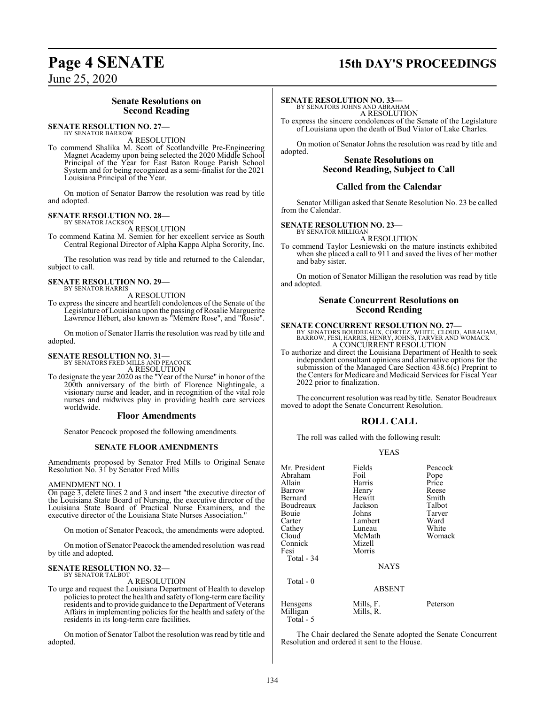# **Page 4 SENATE 15th DAY'S PROCEEDINGS**

June 25, 2020

## **Senate Resolutions on Second Reading**

#### **SENATE RESOLUTION NO. 27—** BY SENATOR BARROW

A RESOLUTION

To commend Shalika M. Scott of Scotlandville Pre-Engineering Magnet Academy upon being selected the 2020 Middle School Principal of the Year for East Baton Rouge Parish School System and for being recognized as a semi-finalist for the 2021 Louisiana Principal of the Year.

On motion of Senator Barrow the resolution was read by title and adopted.

#### **SENATE RESOLUTION NO. 28—** BY SENATOR JACKSON

A RESOLUTION

To commend Katina M. Semien for her excellent service as South Central Regional Director of Alpha Kappa Alpha Sorority, Inc.

The resolution was read by title and returned to the Calendar, subject to call.

#### **SENATE RESOLUTION NO. 29—** BY SENATOR HARRIS

A RESOLUTION

To express the sincere and heartfelt condolences of the Senate of the Legislature ofLouisiana upon the passing ofRosalie Marguerite Lawrence Hébert, also known as "Mémère Rose", and "Rosie".

On motion of Senator Harris the resolution was read by title and adopted.

# **SENATE RESOLUTION NO. 31—**<br>BY SENATORS FRED MILLS AND PEACOCK<br>A RESOLUTION

To designate the year 2020 as the "Year of the Nurse" in honor of the 200th anniversary of the birth of Florence Nightingale, a visionary nurse and leader, and in recognition of the vital role nurses and midwives play in providing health care services worldwide.

#### **Floor Amendments**

Senator Peacock proposed the following amendments.

#### **SENATE FLOOR AMENDMENTS**

Amendments proposed by Senator Fred Mills to Original Senate Resolution No. 31 by Senator Fred Mills

#### AMENDMENT NO. 1

On page 3, delete lines 2 and 3 and insert "the executive director of the Louisiana State Board of Nursing, the executive director of the Louisiana State Board of Practical Nurse Examiners, and the executive director of the Louisiana State Nurses Association."

On motion of Senator Peacock, the amendments were adopted.

On motion of Senator Peacock the amended resolution was read by title and adopted.

#### **SENATE RESOLUTION NO. 32—** BY SENATOR TALBOT

A RESOLUTION

To urge and request the Louisiana Department of Health to develop policies to protect the health and safety of long-term care facility residents and to provide guidance to the Department of Veterans Affairs in implementing policies for the health and safety of the residents in its long-term care facilities.

On motion of Senator Talbot the resolution was read by title and adopted.

#### **SENATE RESOLUTION NO. 33—**

BY SENATORS JOHNS AND ABRAHAM A RESOLUTION

To express the sincere condolences of the Senate of the Legislature of Louisiana upon the death of Bud Viator of Lake Charles.

On motion of Senator Johns the resolution was read by title and adopted.

## **Senate Resolutions on Second Reading, Subject to Call**

## **Called from the Calendar**

Senator Milligan asked that Senate Resolution No. 23 be called from the Calendar.

#### **SENATE RESOLUTION NO. 23—**

BY SENATOR MILLIGAN A RESOLUTION

To commend Taylor Lesniewski on the mature instincts exhibited when she placed a call to 911 and saved the lives of her mother and baby sister.

On motion of Senator Milligan the resolution was read by title and adopted.

#### **Senate Concurrent Resolutions on Second Reading**

#### **SENATE CONCURRENT RESOLUTION NO. 27—**

BY SENATORS BOUDREAUX, CORTEZ, WHITE, CLOUD, ABRAHAM, BARROW, FESI, HARRIS, HENRY, JOHNS, TARVER AND WOMACK A CONCURRENT RESOLUTION

To authorize and direct the Louisiana Department of Health to seek independent consultant opinions and alternative options for the submission of the Managed Care Section 438.6(c) Preprint to the Centers for Medicare and Medicaid Services for Fiscal Year 2022 prior to finalization.

The concurrent resolution was read by title. Senator Boudreaux moved to adopt the Senate Concurrent Resolution.

## **ROLL CALL**

The roll was called with the following result:

#### YEAS

| Mr. President | Fields        | Peacock  |
|---------------|---------------|----------|
| Abraham       | Foil          | Pope     |
| Allain        | Harris        | Price    |
| Barrow        | Henry         | Reese    |
| Bernard       | Hewitt        | Smith    |
| Boudreaux     | Jackson       | Talbot   |
| Bouie         | Johns         | Tarver   |
| Carter        | Lambert       | Ward     |
| Cathey        | Luneau        | White    |
| Cloud         | McMath        | Womack   |
| Connick       | Mizell        |          |
| Fesi          | Morris        |          |
| Total - 34    |               |          |
|               | <b>NAYS</b>   |          |
| Total - 0     |               |          |
|               | <b>ABSENT</b> |          |
| Hensgens      | Mills, F.     | Peterson |
| Milligan      | Mills, R.     |          |
| Total - 5     |               |          |

The Chair declared the Senate adopted the Senate Concurrent Resolution and ordered it sent to the House.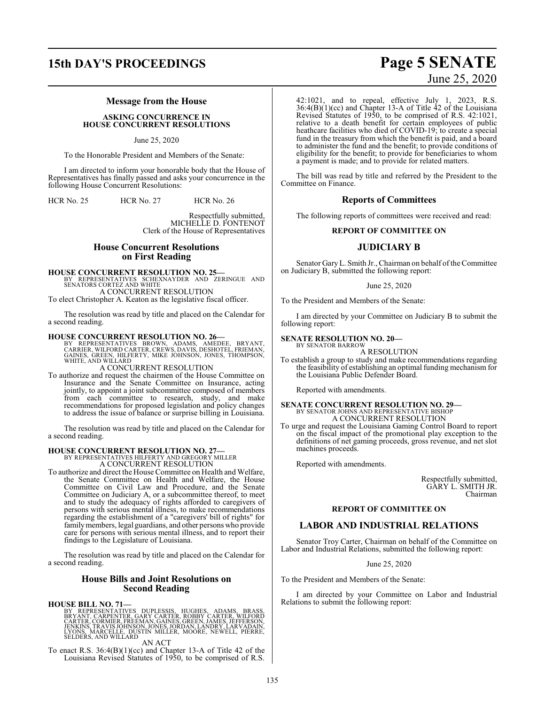## **15th DAY'S PROCEEDINGS Page 5 SENATE**

## **Message from the House**

**ASKING CONCURRENCE IN HOUSE CONCURRENT RESOLUTIONS**

#### June 25, 2020

To the Honorable President and Members of the Senate:

I am directed to inform your honorable body that the House of Representatives has finally passed and asks your concurrence in the following House Concurrent Resolutions:

HCR No. 25 HCR No. 27 HCR No. 26

Respectfully submitted, MICHELLE D. FONTENOT Clerk of the House of Representatives

#### **House Concurrent Resolutions on First Reading**

#### **HOUSE CONCURRENT RESOLUTION NO. 25—**

BY REPRESENTATIVES SCHEXNAYDER AND ZERINGUE AND SENATORS CORTEZ AND WHITE A CONCURRENT RESOLUTION

To elect Christopher A. Keaton as the legislative fiscal officer.

The resolution was read by title and placed on the Calendar for a second reading.

**HOUSE CONCURRENT RESOLUTION NO. 26—**<br>BY REPRESENTATIVES BROWN, ADAMS, AMEDEE, BRYANT,<br>CARRIER, WILFORD CARTER, CREWS, DAVIS, DESHOTEL, FRIEMAN,<br>GAINES, GREEN, HILFERTY, MIKE JOHNSON, JONES, THOMPSON,<br>WHITE, AND WILLARD

A CONCURRENT RESOLUTION

To authorize and request the chairmen of the House Committee on Insurance and the Senate Committee on Insurance, acting jointly, to appoint a joint subcommittee composed of members from each committee to research, study, and make recommendations for proposed legislation and policy changes to address the issue of balance or surprise billing in Louisiana.

The resolution was read by title and placed on the Calendar for a second reading.

## **HOUSE CONCURRENT RESOLUTION NO. 27—** BY REPRESENTATIVES HILFERTY AND GREGORY MILLER

A CONCURRENT RESOLUTION

To authorize and direct the House Committee on Health and Welfare, the Senate Committee on Health and Welfare, the House Committee on Civil Law and Procedure, and the Senate Committee on Judiciary A, or a subcommittee thereof, to meet and to study the adequacy of rights afforded to caregivers of persons with serious mental illness, to make recommendations regarding the establishment of a "caregivers' bill of rights" for familymembers, legal guardians, and other persons who provide care for persons with serious mental illness, and to report their findings to the Legislature of Louisiana.

The resolution was read by title and placed on the Calendar for a second reading.

#### **House Bills and Joint Resolutions on Second Reading**

**HOUSE BILL NO. 71—**<br>BY REPRESENTATIVES DUPLESSIS, HUGHES, ADAMS, BRASS,<br>BRYANT, CARPENTER, GARY CARTER, ROBBY CARTER, WILFORD<br>CARTER, CORMIER, FREEMAN, GAINES, GREEN, JAMES, JEFFERSON,<br>JENKINS, TRAVISJOHNSON, JONES, JORDA

AN ACT

To enact R.S. 36:4(B)(1)(cc) and Chapter 13-A of Title 42 of the Louisiana Revised Statutes of 1950, to be comprised of R.S.

#### 42:1021, and to repeal, effective July 1, 2023, R.S. 36:4(B)(1)(cc) and Chapter 13-A of Title 42 of the Louisiana Revised Statutes of 1950, to be comprised of R.S. 42:1021, relative to a death benefit for certain employees of public heathcare facilities who died of COVID-19; to create a special fund in the treasury from which the benefit is paid, and a board to administer the fund and the benefit; to provide conditions of eligibility for the benefit; to provide for beneficiaries to whom a payment is made; and to provide for related matters.

The bill was read by title and referred by the President to the Committee on Finance.

#### **Reports of Committees**

The following reports of committees were received and read:

#### **REPORT OF COMMITTEE ON**

## **JUDICIARY B**

Senator Gary L. Smith Jr., Chairman on behalf of the Committee on Judiciary B, submitted the following report:

#### June 25, 2020

To the President and Members of the Senate:

I am directed by your Committee on Judiciary B to submit the following report:

#### **SENATE RESOLUTION NO. 20—** BY SENATOR BARROW

A RESOLUTION

To establish a group to study and make recommendations regarding the feasibility of establishing an optimal funding mechanism for the Louisiana Public Defender Board.

Reported with amendments.

# **SENATE CONCURRENT RESOLUTION NO. 29—**<br>BY SENATOR JOHNS AND REPRESENTATIVE BISHOP<br>A CONCURRENT RESOLUTION

To urge and request the Louisiana Gaming Control Board to report on the fiscal impact of the promotional play exception to the definitions of net gaming proceeds, gross revenue, and net slot machines proceeds.

Reported with amendments.

Respectfully submitted, GARY L. SMITH JR. Chairman

#### **REPORT OF COMMITTEE ON**

#### **LABOR AND INDUSTRIAL RELATIONS**

Senator Troy Carter, Chairman on behalf of the Committee on Labor and Industrial Relations, submitted the following report:

June 25, 2020

To the President and Members of the Senate:

I am directed by your Committee on Labor and Industrial Relations to submit the following report:

# June 25, 2020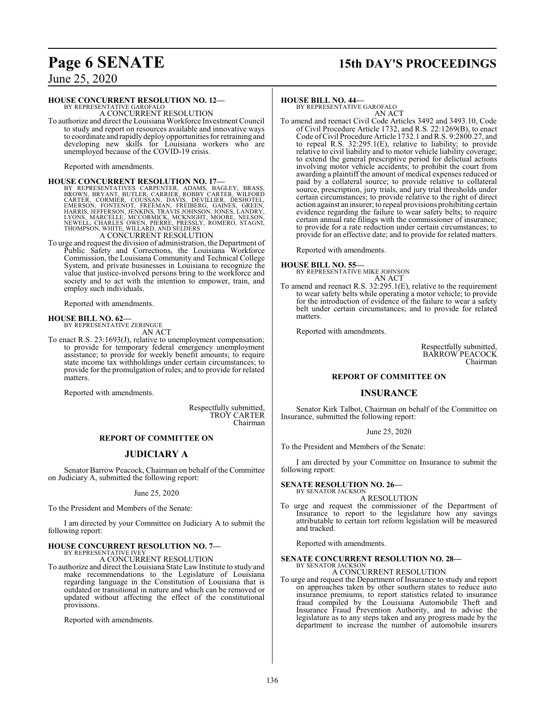# **Page 6 SENATE 15th DAY'S PROCEEDINGS**

June 25, 2020

#### **HOUSE CONCURRENT RESOLUTION NO. 12—**

BY REPRESENTATIVE GAROFALO A CONCURRENT RESOLUTION

To authorize and direct the Louisiana Workforce Investment Council to study and report on resources available and innovative ways to coordinate and rapidly deploy opportunities for retraining and developing new skills for Louisiana workers who are unemployed because of the COVID-19 crisis.

Reported with amendments.

HOUSE CONCURRENT RESOLUTION NO. 17—<br>BY REPRESENTATIVES CARPENTER, ADAMS, BAGLEY, BRASS, BROWN, BRYANT, BUTLER, CARRIER, ROBBY CARTER, WILFORD<br>CARTER, CORMIER, COUSSAN, DAVIS, DEVILLIER, DESHOTEL,<br>EMERSON, FONTENOT, FREEMAN

To urge and request the division of administration, the Department of Public Safety and Corrections, the Louisiana Workforce Commission, the Louisiana Community and Technical College System, and private businesses in Louisiana to recognize the value that justice-involved persons bring to the workforce and society and to act with the intention to empower, train, and employ such individuals.

Reported with amendments.

#### **HOUSE BILL NO. 62—**

BY REPRESENTATIVE ZERINGUE AN ACT

To enact R.S. 23:1693(J), relative to unemployment compensation; to provide for temporary federal emergency unemployment assistance; to provide for weekly benefit amounts; to require state income tax withholdings under certain circumstances; to provide for the promulgation of rules; and to provide for related matters.

Reported with amendments.

Respectfully submitted, TROY CARTER Chairman

#### **REPORT OF COMMITTEE ON**

## **JUDICIARY A**

Senator Barrow Peacock, Chairman on behalf of the Committee on Judiciary A, submitted the following report:

#### June 25, 2020

To the President and Members of the Senate:

I am directed by your Committee on Judiciary A to submit the following report:

## **HOUSE CONCURRENT RESOLUTION NO. 7—** BY REPRESENTATIVE IVEY

A CONCURRENT RESOLUTION

To authorize and direct the Louisiana State Law Institute to study and make recommendations to the Legislature of Louisiana regarding language in the Constitution of Louisiana that is outdated or transitional in nature and which can be removed or updated without affecting the effect of the constitutional provisions.

Reported with amendments.

#### **HOUSE BILL NO. 44—**

BY REPRESENTATIVE GAROFALO AN ACT

To amend and reenact Civil Code Articles 3492 and 3493.10, Code of Civil Procedure Article 1732, and R.S. 22:1269(B), to enact Code ofCivil Procedure Article 1732.1 and R.S. 9:2800.27, and to repeal R.S. 32:295.1(E), relative to liability; to provide relative to civil liability and to motor vehicle liability coverage; to extend the general prescriptive period for delictual actions involving motor vehicle accidents; to prohibit the court from awarding a plaintiff the amount of medical expenses reduced or paid by a collateral source; to provide relative to collateral source, prescription, jury trials, and jury trial thresholds under certain circumstances; to provide relative to the right of direct action against an insurer; to repeal provisions prohibiting certain evidence regarding the failure to wear safety belts; to require certain annual rate filings with the commissioner of insurance; to provide for a rate reduction under certain circumstances; to provide for an effective date; and to provide for related matters.

Reported with amendments.

**HOUSE BILL NO. 55—**

BY REPRESENTATIVE MIKE JOHNSON AN ACT

To amend and reenact R.S. 32:295.1(E), relative to the requirement to wear safety belts while operating a motor vehicle; to provide for the introduction of evidence of the failure to wear a safety belt under certain circumstances; and to provide for related matters.

Reported with amendments.

Respectfully submitted, BARROW PEACOCK Chairman

#### **REPORT OF COMMITTEE ON**

## **INSURANCE**

Senator Kirk Talbot, Chairman on behalf of the Committee on Insurance, submitted the following report:

June 25, 2020

To the President and Members of the Senate:

I am directed by your Committee on Insurance to submit the following report:

#### **SENATE RESOLUTION NO. 26—** BY SENATOR JACKSON

#### A RESOLUTION

To urge and request the commissioner of the Department of Insurance to report to the legislature how any savings attributable to certain tort reform legislation will be measured and tracked.

Reported with amendments.

#### **SENATE CONCURRENT RESOLUTION NO. 28—**

#### BY SENATOR JACKSON A CONCURRENT RESOLUTION

To urge and request the Department of Insurance to study and report on approaches taken by other southern states to reduce auto insurance premiums, to report statistics related to insurance fraud compiled by the Louisiana Automobile Theft and Insurance Fraud Prevention Authority, and to advise the legislature as to any steps taken and any progress made by the department to increase the number of automobile insurers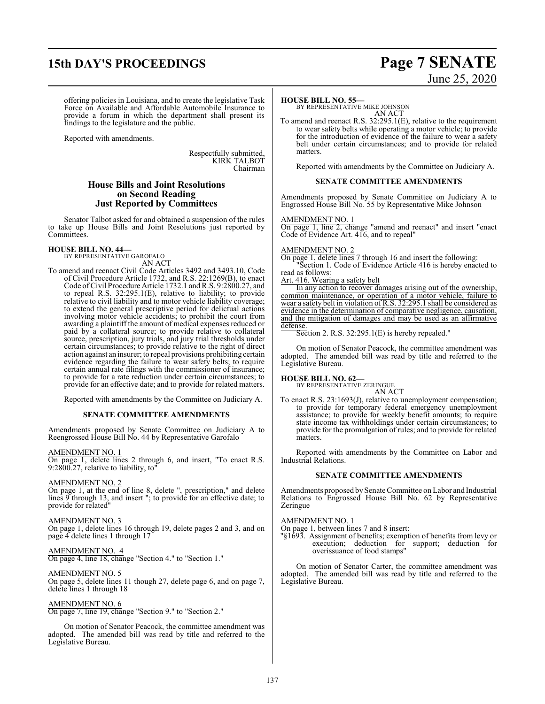# **15th DAY'S PROCEEDINGS Page 7 SENATE**

# June 25, 2020

offering policies in Louisiana, and to create the legislative Task Force on Available and Affordable Automobile Insurance to provide a forum in which the department shall present its findings to the legislature and the public.

Reported with amendments.

Respectfully submitted, KIRK TALBOT Chairman

#### **House Bills and Joint Resolutions on Second Reading Just Reported by Committees**

Senator Talbot asked for and obtained a suspension of the rules to take up House Bills and Joint Resolutions just reported by Committees.

# **HOUSE BILL NO. 44—** BY REPRESENTATIVE GAROFALO

AN ACT

To amend and reenact Civil Code Articles 3492 and 3493.10, Code of Civil Procedure Article 1732, and R.S. 22:1269(B), to enact Code of Civil Procedure Article 1732.1 and R.S. 9:2800.27, and to repeal R.S. 32:295.1(E), relative to liability; to provide relative to civil liability and to motor vehicle liability coverage; to extend the general prescriptive period for delictual actions involving motor vehicle accidents; to prohibit the court from awarding a plaintiff the amount of medical expenses reduced or paid by a collateral source; to provide relative to collateral source, prescription, jury trials, and jury trial thresholds under certain circumstances; to provide relative to the right of direct action against an insurer; to repeal provisions prohibiting certain evidence regarding the failure to wear safety belts; to require certain annual rate filings with the commissioner of insurance; to provide for a rate reduction under certain circumstances; to provide for an effective date; and to provide for related matters.

Reported with amendments by the Committee on Judiciary A.

#### **SENATE COMMITTEE AMENDMENTS**

Amendments proposed by Senate Committee on Judiciary A to Reengrossed House Bill No. 44 by Representative Garofalo

AMENDMENT NO. 1

On page 1, delete lines 2 through 6, and insert, "To enact R.S. 9:2800.27, relative to liability, to"

#### AMENDMENT NO. 2

On page 1, at the end of line 8, delete ", prescription," and delete lines 9 through 13, and insert "; to provide for an effective date; to provide for related"

#### AMENDMENT NO. 3

On page 1, delete lines 16 through 19, delete pages 2 and 3, and on page 4 delete lines 1 through 17

#### AMENDMENT NO. 4

On page 4, line 18, change "Section 4." to "Section 1."

#### AMENDMENT NO. 5

On page 5, delete lines 11 though 27, delete page 6, and on page 7, delete lines 1 through 18

#### AMENDMENT NO. 6

On page 7, line 19, change "Section 9." to "Section 2."

On motion of Senator Peacock, the committee amendment was adopted. The amended bill was read by title and referred to the Legislative Bureau.

#### **HOUSE BILL NO. 55—**

BY REPRESENTATIVE MIKE JOHNSON AN ACT

To amend and reenact R.S. 32:295.1(E), relative to the requirement to wear safety belts while operating a motor vehicle; to provide for the introduction of evidence of the failure to wear a safety belt under certain circumstances; and to provide for related matters.

Reported with amendments by the Committee on Judiciary A.

#### **SENATE COMMITTEE AMENDMENTS**

Amendments proposed by Senate Committee on Judiciary A to Engrossed House Bill No. 55 by Representative Mike Johnson

#### AMENDMENT NO. 1

On page 1, line 2, change "amend and reenact" and insert "enact Code of Evidence Art. 416, and to repeal"

#### AMENDMENT NO. 2

On page 1, delete lines 7 through 16 and insert the following: "Section 1. Code of Evidence Article 416 is hereby enacted to

read as follows:

Art. 416. Wearing a safety belt

In any action to recover damages arising out of the ownership, common maintenance, or operation of a motor vehicle, failure to wear a safety belt in violation of R.S. 32:295.1 shall be considered as evidence in the determination of comparative negligence, causation, and the mitigation of damages and may be used as an affirmative defense.

Section 2. R.S. 32:295.1(E) is hereby repealed."

On motion of Senator Peacock, the committee amendment was adopted. The amended bill was read by title and referred to the Legislative Bureau.

## **HOUSE BILL NO. 62—** BY REPRESENTATIVE ZERINGUE

AN ACT

To enact R.S. 23:1693(J), relative to unemployment compensation; to provide for temporary federal emergency unemployment assistance; to provide for weekly benefit amounts; to require state income tax withholdings under certain circumstances; to provide for the promulgation of rules; and to provide for related matters.

Reported with amendments by the Committee on Labor and Industrial Relations.

#### **SENATE COMMITTEE AMENDMENTS**

Amendments proposed by Senate Committee on Labor and Industrial Relations to Engrossed House Bill No. 62 by Representative Zeringue

#### AMENDMENT NO. 1

On page 1, between lines 7 and 8 insert:

"§1693. Assignment of benefits; exemption of benefits from levy or execution; deduction for support; deduction for overissuance of food stamps"

On motion of Senator Carter, the committee amendment was adopted. The amended bill was read by title and referred to the Legislative Bureau.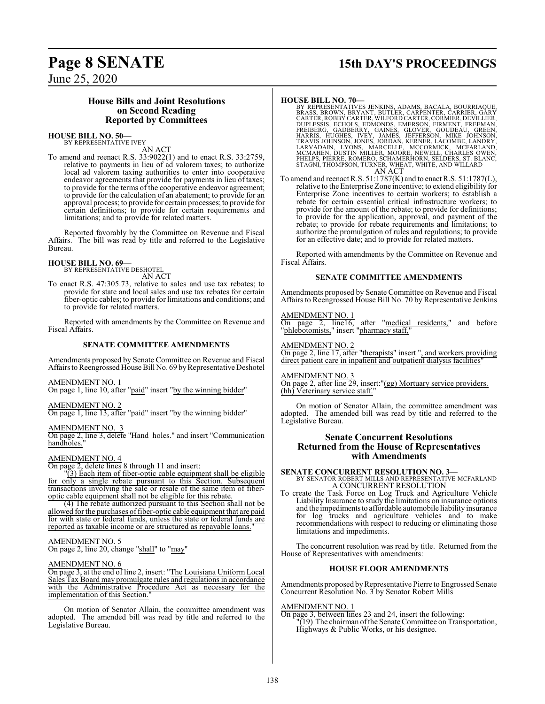# **Page 8 SENATE 15th DAY'S PROCEEDINGS**

June 25, 2020

## **House Bills and Joint Resolutions on Second Reading Reported by Committees**

#### **HOUSE BILL NO. 50—** BY REPRESENTATIVE IVEY

AN ACT

To amend and reenact R.S. 33:9022(1) and to enact R.S. 33:2759, relative to payments in lieu of ad valorem taxes; to authorize local ad valorem taxing authorities to enter into cooperative endeavor agreements that provide for payments in lieu of taxes; to provide for the terms of the cooperative endeavor agreement; to provide for the calculation of an abatement; to provide for an approval process; to provide for certain processes; to provide for certain definitions; to provide for certain requirements and limitations; and to provide for related matters.

Reported favorably by the Committee on Revenue and Fiscal Affairs. The bill was read by title and referred to the Legislative Bureau.

#### **HOUSE BILL NO. 69—** BY REPRESENTATIVE DESHOTEL

AN ACT

To enact R.S. 47:305.73, relative to sales and use tax rebates; to provide for state and local sales and use tax rebates for certain fiber-optic cables; to provide for limitations and conditions; and to provide for related matters.

Reported with amendments by the Committee on Revenue and Fiscal Affairs.

#### **SENATE COMMITTEE AMENDMENTS**

Amendments proposed by Senate Committee on Revenue and Fiscal Affairs to Reengrossed House Bill No. 69 by Representative Deshotel

#### AMENDMENT NO. 1

On page 1, line 10, after "paid" insert "by the winning bidder"

AMENDMENT NO. 2 On page 1, line 13, after "paid" insert "by the winning bidder"

#### AMENDMENT NO. 3

On page 2, line 3, delete "Hand holes." and insert "Communication handholes."

#### AMENDMENT NO. 4

On page 2, delete lines 8 through 11 and insert:

(3) Each item of fiber-optic cable equipment shall be eligible for only a single rebate pursuant to this Section. Subsequent transactions involving the sale or resale of the same item of fiberoptic cable equipment shall not be eligible for this rebate.

(4) The rebate authorized pursuant to this Section shall not be allowed for the purchases offiber-optic cable equipment that are paid for with state or federal funds, unless the state or federal funds are reported as taxable income or are structured as repayable loans.

#### AMENDMENT NO. 5

On page 2, line 20, change "shall" to "may"

#### AMENDMENT NO. 6

On page 3, at the end of line 2, insert: "The Louisiana Uniform Local Sales Tax Board may promulgate rules and regulations in accordance with the Administrative Procedure Act as necessary for the implementation of this Section.

On motion of Senator Allain, the committee amendment was adopted. The amended bill was read by title and referred to the Legislative Bureau.

**HOUSE BILL NO. 70—**<br>BY REPRESENTATIVES JENKINS, ADAMS, BACALA, BOURRIAQUE,<br>BRASS, BROWN, BRYANT, BUTLER, CARPENTER, CARRIER, GARY<br>CARTER, ROBBY CARTER, WILFORD CARTER, CORMIER, DEVILLIER,<br>DUPLESSIS, ECHOLS, EDMONDS, EMERS

To amend and reenact R.S. 51:1787(K) and to enact R.S. 51:1787(L), relative to the Enterprise Zone incentive; to extend eligibility for Enterprise Zone incentives to certain workers; to establish a rebate for certain essential critical infrastructure workers; to provide for the amount of the rebate; to provide for definitions; to provide for the application, approval, and payment of the rebate; to provide for rebate requirements and limitations; to authorize the promulgation of rules and regulations; to provide for an effective date; and to provide for related matters.

Reported with amendments by the Committee on Revenue and Fiscal Affairs.

#### **SENATE COMMITTEE AMENDMENTS**

Amendments proposed by Senate Committee on Revenue and Fiscal Affairs to Reengrossed House Bill No. 70 by Representative Jenkins

#### AMENDMENT NO. 1

On page 2, line16, after "medical residents," and before "phlebotomists," insert "pharmacy staff,"

#### AMENDMENT NO. 2

On page 2, line 17, after "therapists" insert ", and workers providing direct patient care in inpatient and outpatient dialysis facilities"

#### AMENDMENT NO. 3

On page 2, after line 29, insert:"(gg) Mortuary service providers. (hh) Veterinary service staff."

On motion of Senator Allain, the committee amendment was adopted. The amended bill was read by title and referred to the Legislative Bureau.

## **Senate Concurrent Resolutions Returned from the House of Representatives with Amendments**

# **SENATE CONCURRENT RESOLUTION NO. 3—** BY SENATOR ROBERT MILLS AND REPRESENTATIVE MCFARLAND

- A CONCURRENT RESOLUTION
- To create the Task Force on Log Truck and Agriculture Vehicle Liability Insurance to study the limitations on insurance options and the impediments to affordable automobile liability insurance for log trucks and agriculture vehicles and to make recommendations with respect to reducing or eliminating those limitations and impediments.

The concurrent resolution was read by title. Returned from the House of Representatives with amendments:

#### **HOUSE FLOOR AMENDMENTS**

Amendments proposed by Representative Pierre to Engrossed Senate Concurrent Resolution No. 3 by Senator Robert Mills

#### AMENDMENT NO. 1

On page 3, between lines 23 and 24, insert the following: "(19) The chairman ofthe Senate Committee on Transportation, Highways & Public Works, or his designee.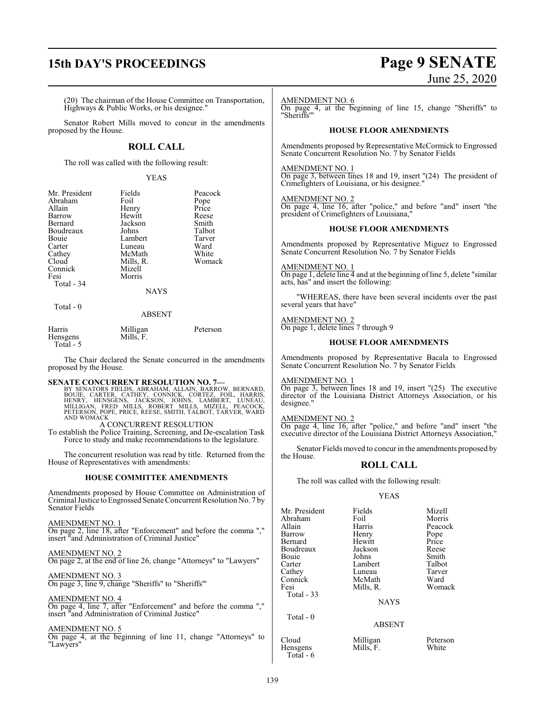# **15th DAY'S PROCEEDINGS Page 9 SENATE**

(20) The chairman of the House Committee on Transportation, Highways & Public Works, or his designee."

Senator Robert Mills moved to concur in the amendments proposed by the House.

## **ROLL CALL**

The roll was called with the following result:

#### YEAS

| Mr. President | Fields      | Peacock |
|---------------|-------------|---------|
| Abraham       | Foil        | Pope    |
| Allain        | Henry       | Price   |
| Barrow        | Hewitt      | Reese   |
| Bernard       | Jackson     | Smith   |
| Boudreaux     | Johns       | Talbot  |
| Bouie         | Lambert     | Tarver  |
| Carter        | Luneau      | Ward    |
| Cathey        | McMath      | White   |
| Cloud         | Mills, R.   | Womack  |
| Connick       | Mizell      |         |
| Fesi          | Morris      |         |
| Total - 34    |             |         |
|               | <b>NAYS</b> |         |
| Total - 0     |             |         |
|               | ABSENT      |         |

| Harris<br>Hensgens | Milligan<br>Mills, F. | Peterson |
|--------------------|-----------------------|----------|
| Total - 5          |                       |          |

The Chair declared the Senate concurred in the amendments proposed by the House.

#### **SENATE CONCURRENT RESOLUTION NO. 7—**

BY SENATORS FIELDS, ABRAHAM, ALLAIN, BARROW, BERNARD,<br>BOUIE, CARTER, CATHEY, CONNICK, CORTEZ, FOIL, HARRIS,<br>HENRY, HENSGENS, JACKSON, JOHNS, LAMBERT, LUNEAU,<br>MILLIGAN, FRED MILLS, ROBERT MILLS, MIZELL, PEACOCK,<br>PETERSON, P AND WOMACK

#### A CONCURRENT RESOLUTION

To establish the Police Training, Screening, and De-escalation Task Force to study and make recommendations to the legislature.

The concurrent resolution was read by title. Returned from the House of Representatives with amendments:

#### **HOUSE COMMITTEE AMENDMENTS**

Amendments proposed by House Committee on Administration of Criminal Justice to Engrossed Senate Concurrent Resolution No. 7 by Senator Fields

AMENDMENT NO. 1 On page 2, line 18, after "Enforcement" and before the comma "," insert "and Administration of Criminal Justice"

AMENDMENT NO. 2 On page 2, at the end of line 26, change "Attorneys" to "Lawyers"

AMENDMENT NO. 3 On page 3, line 9, change "Sheriffs" to "Sheriffs'"

AMENDMENT NO. 4 On page 4, line 7, after "Enforcement" and before the comma "," insert "and Administration of Criminal Justice"

AMENDMENT NO. 5

On page 4, at the beginning of line 11, change "Attorneys" to "Lawyers"

# June 25, 2020

#### AMENDMENT NO. 6

On page 4, at the beginning of line 15, change "Sheriffs" to "Sheriffs'"

#### **HOUSE FLOOR AMENDMENTS**

Amendments proposed by Representative McCormick to Engrossed Senate Concurrent Resolution No. 7 by Senator Fields

#### AMENDMENT NO. 1

On page 3, between lines 18 and 19, insert "(24) The president of Crimefighters of Louisiana, or his designee."

AMENDMENT NO. 2

On page 4, line 16, after "police," and before "and" insert "the president of Crimefighters of Louisiana,"

#### **HOUSE FLOOR AMENDMENTS**

Amendments proposed by Representative Miguez to Engrossed Senate Concurrent Resolution No. 7 by Senator Fields

#### AMENDMENT NO. 1

On page 1, delete line 4 and at the beginning of line 5, delete "similar acts, has" and insert the following:

"WHEREAS, there have been several incidents over the past several years that have"

AMENDMENT NO. 2 On page 1, delete lines 7 through 9

#### **HOUSE FLOOR AMENDMENTS**

Amendments proposed by Representative Bacala to Engrossed Senate Concurrent Resolution No. 7 by Senator Fields

#### AMENDMENT NO. 1

On page 3, between lines 18 and 19, insert "(25) The executive director of the Louisiana District Attorneys Association, or his designee."

#### AMENDMENT NO. 2

On page 4, line 16, after "police," and before "and" insert "the executive director of the Louisiana District Attorneys Association,"

Senator Fields moved to concur in the amendments proposed by the House.

## **ROLL CALL**

The roll was called with the following result:

#### YEAS

| Mr. President | Fields        | Mizell  |
|---------------|---------------|---------|
| Abraham       | Foil          | Morris  |
| Allain        | Harris        | Peacock |
| Barrow        | Henry         | Pope    |
| Bernard       | Hewitt        | Price   |
| Boudreaux     | Jackson       | Reese   |
| Bouie         | Johns         | Smith   |
| Carter        | Lambert       | Talbot  |
| Cathey        | Luneau        | Tarver  |
| Connick       | McMath        | Ward    |
| Fesi          | Mills, R.     | Womack  |
| Total $-33$   |               |         |
|               | <b>NAYS</b>   |         |
| Total $-0$    | <b>ABSENT</b> |         |
|               |               |         |

#### $\overline{\mathrm{T}}$

| Cloud     | Milligan  | Peterson |
|-----------|-----------|----------|
| Hensgens  | Mills. F. | White    |
| Total - 6 |           |          |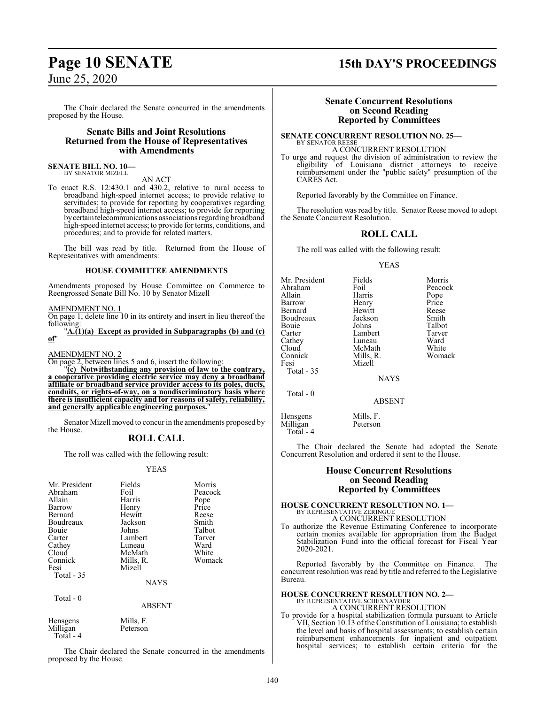## **Page 10 SENATE 15th DAY'S PROCEEDINGS**

June 25, 2020

The Chair declared the Senate concurred in the amendments proposed by the House.

#### **Senate Bills and Joint Resolutions Returned from the House of Representatives with Amendments**

**SENATE BILL NO. 10—** BY SENATOR MIZELL

AN ACT

To enact R.S. 12:430.1 and 430.2, relative to rural access to broadband high-speed internet access; to provide relative to servitudes; to provide for reporting by cooperatives regarding broadband high-speed internet access; to provide for reporting bycertain telecommunications associations regarding broadband high-speed internet access; to provide for terms, conditions, and procedures; and to provide for related matters.

The bill was read by title. Returned from the House of Representatives with amendments:

#### **HOUSE COMMITTEE AMENDMENTS**

Amendments proposed by House Committee on Commerce to Reengrossed Senate Bill No. 10 by Senator Mizell

#### AMENDMENT NO. 1

On page 1, delete line 10 in its entirety and insert in lieu thereof the following:

"**A.(1)(a) Except as provided in Subparagraphs (b) and (c) of**"

#### AMENDMENT NO. 2

On page 2, between lines 5 and 6, insert the following:

"**(c) Notwithstanding any provision of law to the contrary, a cooperative providing electric service may deny a broadband affiliate or broadband service provider access to its poles, ducts, conduits, or rights-of-way, on a nondiscriminatory basis where there is insufficient capacity and for reasons of safety, reliability, and generally applicable engineering purposes.**"

Senator Mizell moved to concur in the amendments proposed by the House.

#### **ROLL CALL**

The roll was called with the following result:

#### YEAS

| Mr. President<br>Abraham<br>Allain<br>Barrow<br>Bernard<br>Boudreaux<br>Bouie<br>Carter<br>Cathey<br>Cloud<br>Connick<br>Fesi<br>Total $-35$ | Fields<br>Foil<br>Harris<br>Henry<br>Hewitt<br>Jackson<br>Johns<br>Lambert<br>Luneau<br>McMath<br>Mills, R.<br>Mizell | Morris<br>Peacock<br>Pope<br>Price<br>Reese<br>Smith<br>Talbot<br>Tarver<br>Ward<br>White<br>Womack |
|----------------------------------------------------------------------------------------------------------------------------------------------|-----------------------------------------------------------------------------------------------------------------------|-----------------------------------------------------------------------------------------------------|
|                                                                                                                                              | NAYS                                                                                                                  |                                                                                                     |

|                                   | <b>ABSENT</b>         |
|-----------------------------------|-----------------------|
| Hensgens<br>Milligan<br>Total - 4 | Mills, F.<br>Peterson |

Total - 0

The Chair declared the Senate concurred in the amendments proposed by the House.

#### **Senate Concurrent Resolutions on Second Reading Reported by Committees**

**SENATE CONCURRENT RESOLUTION NO. 25—** BY SENATOR REESE A CONCURRENT RESOLUTION

To urge and request the division of administration to review the eligibility of Louisiana district attorneys to receive reimbursement under the "public safety" presumption of the CARES Act.

Reported favorably by the Committee on Finance.

The resolution was read by title. Senator Reese moved to adopt the Senate Concurrent Resolution.

#### **ROLL CALL**

The roll was called with the following result:

#### YEAS

| Mr. President | Fields    | Morris  |
|---------------|-----------|---------|
| Abraham       | Foil      | Peacock |
| Allain        | Harris    | Pope    |
| Barrow        | Henry     | Price   |
| Bernard       | Hewitt    | Reese   |
| Boudreaux     | Jackson   | Smith   |
| Bouie         | Johns     | Talbot  |
| Carter        | Lambert   | Tarver  |
| Cathey        | Luneau    | Ward    |
| Cloud         | McMath    | White   |
| Connick       | Mills, R. | Womack  |
| Fesi          | Mizell    |         |
| Total - 35    |           |         |

Total - 0

NAYS

#### ABSENT

Hensgens Mills, F.<br>Milligan Peterson Milligan Total - 4

The Chair declared the Senate had adopted the Senate Concurrent Resolution and ordered it sent to the House.

#### **House Concurrent Resolutions on Second Reading Reported by Committees**

#### **HOUSE CONCURRENT RESOLUTION NO. 1—** BY REPRESENTATIVE ZERINGUE A CONCURRENT RESOLUTION

To authorize the Revenue Estimating Conference to incorporate certain monies available for appropriation from the Budget Stabilization Fund into the official forecast for Fiscal Year 2020-2021.

Reported favorably by the Committee on Finance. The concurrent resolution was read by title and referred to the Legislative Bureau.

## **HOUSE CONCURRENT RESOLUTION NO. 2—** BY REPRESENTATIVE SCHEXNAYDER

A CONCURRENT RESOLUTION

To provide for a hospital stabilization formula pursuant to Article VII, Section 10.13 of the Constitution of Louisiana; to establish the level and basis of hospital assessments; to establish certain reimbursement enhancements for inpatient and outpatient hospital services; to establish certain criteria for the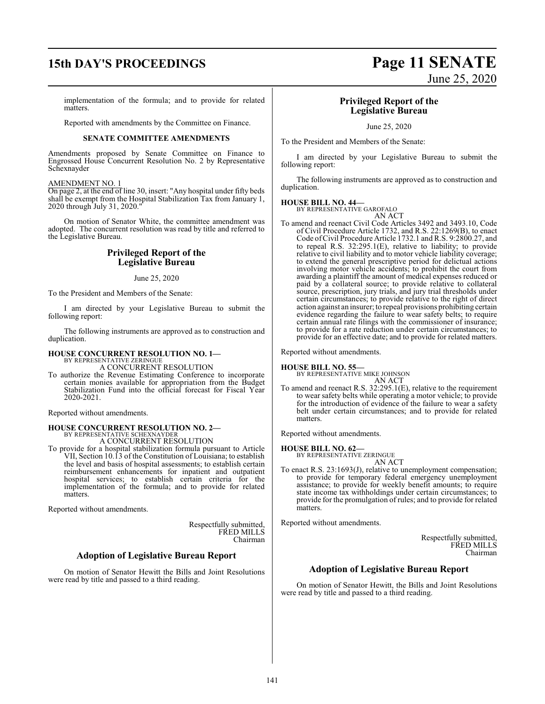# **15th DAY'S PROCEEDINGS Page 11 SENATE**

implementation of the formula; and to provide for related matters.

Reported with amendments by the Committee on Finance.

#### **SENATE COMMITTEE AMENDMENTS**

Amendments proposed by Senate Committee on Finance to Engrossed House Concurrent Resolution No. 2 by Representative Schexnayder

#### AMENDMENT NO. 1

On page 2, at the end of line 30, insert: "Any hospital under fifty beds shall be exempt from the Hospital Stabilization Tax from January 1, 2020 through July 31, 2020."

On motion of Senator White, the committee amendment was adopted. The concurrent resolution was read by title and referred to the Legislative Bureau.

#### **Privileged Report of the Legislative Bureau**

#### June 25, 2020

To the President and Members of the Senate:

I am directed by your Legislative Bureau to submit the following report:

The following instruments are approved as to construction and duplication.

#### **HOUSE CONCURRENT RESOLUTION NO. 1—**

BY REPRESENTATIVE ZERINGUE A CONCURRENT RESOLUTION

To authorize the Revenue Estimating Conference to incorporate certain monies available for appropriation from the Budget Stabilization Fund into the official forecast for Fiscal Year 2020-2021.

Reported without amendments.

# **HOUSE CONCURRENT RESOLUTION NO. 2—** BY REPRESENTATIVE SCHEXNAYDER

A CONCURRENT RESOLUTION

To provide for a hospital stabilization formula pursuant to Article VII, Section 10.13 of the Constitution of Louisiana; to establish the level and basis of hospital assessments; to establish certain reimbursement enhancements for inpatient and outpatient hospital services; to establish certain criteria for the implementation of the formula; and to provide for related matters.

Reported without amendments.

Respectfully submitted, FRED MILLS Chairman

## **Adoption of Legislative Bureau Report**

On motion of Senator Hewitt the Bills and Joint Resolutions were read by title and passed to a third reading.

## **Privileged Report of the Legislative Bureau**

June 25, 2020

To the President and Members of the Senate:

I am directed by your Legislative Bureau to submit the following report:

The following instruments are approved as to construction and duplication.

# **HOUSE BILL NO. 44—** BY REPRESENTATIVE GAROFALO

AN ACT

To amend and reenact Civil Code Articles 3492 and 3493.10, Code of Civil Procedure Article 1732, and R.S. 22:1269(B), to enact Code of Civil Procedure Article 1732.1 and R.S. 9:2800.27, and to repeal R.S. 32:295.1(E), relative to liability; to provide relative to civil liability and to motor vehicle liability coverage; to extend the general prescriptive period for delictual actions involving motor vehicle accidents; to prohibit the court from awarding a plaintiff the amount of medical expenses reduced or paid by a collateral source; to provide relative to collateral source, prescription, jury trials, and jury trial thresholds under certain circumstances; to provide relative to the right of direct action against an insurer; to repeal provisions prohibiting certain evidence regarding the failure to wear safety belts; to require certain annual rate filings with the commissioner of insurance; to provide for a rate reduction under certain circumstances; to provide for an effective date; and to provide for related matters.

Reported without amendments.

**HOUSE BILL NO. 55—** BY REPRESENTATIVE MIKE JOHNSON AN ACT

To amend and reenact R.S. 32:295.1(E), relative to the requirement to wear safety belts while operating a motor vehicle; to provide for the introduction of evidence of the failure to wear a safety belt under certain circumstances; and to provide for related matters.

Reported without amendments.

#### **HOUSE BILL NO. 62—**

BY REPRESENTATIVE ZERINGUE AN ACT

To enact R.S. 23:1693(J), relative to unemployment compensation; to provide for temporary federal emergency unemployment assistance; to provide for weekly benefit amounts; to require state income tax withholdings under certain circumstances; to provide for the promulgation of rules; and to provide for related matters.

Reported without amendments.

Respectfully submitted, FRED MILLS Chairman

## **Adoption of Legislative Bureau Report**

On motion of Senator Hewitt, the Bills and Joint Resolutions were read by title and passed to a third reading.

141

June 25, 2020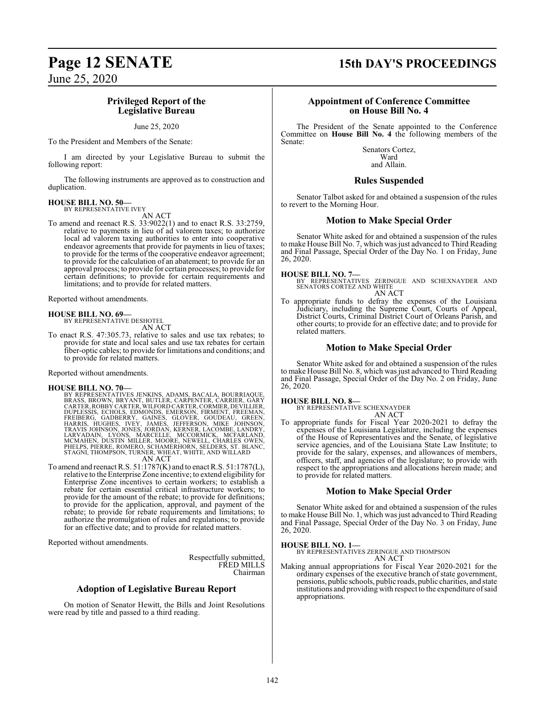June 25, 2020

#### **Privileged Report of the Legislative Bureau**

June 25, 2020

To the President and Members of the Senate:

I am directed by your Legislative Bureau to submit the following report:

The following instruments are approved as to construction and duplication.

## **HOUSE BILL NO. 50—** BY REPRESENTATIVE IVEY

AN ACT

To amend and reenact R.S. 33:9022(1) and to enact R.S. 33:2759, relative to payments in lieu of ad valorem taxes; to authorize local ad valorem taxing authorities to enter into cooperative endeavor agreements that provide for payments in lieu of taxes; to provide for the terms of the cooperative endeavor agreement; to provide for the calculation of an abatement; to provide for an approval process; to provide for certain processes; to provide for certain definitions; to provide for certain requirements and limitations; and to provide for related matters.

Reported without amendments.

**HOUSE BILL NO. 69—** BY REPRESENTATIVE DESHOTEL AN ACT

To enact R.S. 47:305.73, relative to sales and use tax rebates; to provide for state and local sales and use tax rebates for certain fiber-optic cables; to provide for limitations and conditions; and to provide for related matters.

Reported without amendments.

**HOUSE BILL NO. 70—** BY REPRESENTATIVES JENKINS, ADAMS, BACALA, BOURRIAQUE,<br>BRASS, BROWN, BRYANT, BUTLER, CARPENTER, CARRIER, GARY<br>CARTER, ROBBY CARTER, WILFORD CARTER, CORMER, DEVILLIER,<br>DUPLESSIS, ECHOLS, EDMONDS, EMERSON, FIRMENT, FREEMAN,<br>

AN ACT

To amend and reenact R.S. 51:1787(K) and to enact R.S. 51:1787(L), relative to the Enterprise Zone incentive; to extend eligibility for Enterprise Zone incentives to certain workers; to establish a rebate for certain essential critical infrastructure workers; to provide for the amount of the rebate; to provide for definitions; to provide for the application, approval, and payment of the rebate; to provide for rebate requirements and limitations; to authorize the promulgation of rules and regulations; to provide for an effective date; and to provide for related matters.

Reported without amendments.

Respectfully submitted, FRED MILLS Chairman

#### **Adoption of Legislative Bureau Report**

On motion of Senator Hewitt, the Bills and Joint Resolutions were read by title and passed to a third reading.

# **Page 12 SENATE 15th DAY'S PROCEEDINGS**

#### **Appointment of Conference Committee on House Bill No. 4**

The President of the Senate appointed to the Conference Committee on **House Bill No. 4** the following members of the Senate:

Senators Cortez, Ward and Allain.

#### **Rules Suspended**

Senator Talbot asked for and obtained a suspension of the rules to revert to the Morning Hour.

#### **Motion to Make Special Order**

Senator White asked for and obtained a suspension of the rules to make House Bill No. 7, which was just advanced to Third Reading and Final Passage, Special Order of the Day No. 1 on Friday, June 26, 2020.

**HOUSE BILL NO. 7—**<br>BY REPRESENTATIVES ZERINGUE AND SCHEXNAYDER AND SENATORS CORTEZ AND WHITE

#### AN ACT

To appropriate funds to defray the expenses of the Louisiana Judiciary, including the Supreme Court, Courts of Appeal, District Courts, Criminal District Court of Orleans Parish, and other courts; to provide for an effective date; and to provide for related matters.

#### **Motion to Make Special Order**

Senator White asked for and obtained a suspension of the rules to make House Bill No. 8, which was just advanced to Third Reading and Final Passage, Special Order of the Day No. 2 on Friday, June 26, 2020.

#### **HOUSE BILL NO. 8—**

BY REPRESENTATIVE SCHEXNAYDER

## AN ACT

To appropriate funds for Fiscal Year 2020-2021 to defray the expenses of the Louisiana Legislature, including the expenses of the House of Representatives and the Senate, of legislative service agencies, and of the Louisiana State Law Institute; to provide for the salary, expenses, and allowances of members, officers, staff, and agencies of the legislature; to provide with respect to the appropriations and allocations herein made; and to provide for related matters.

#### **Motion to Make Special Order**

Senator White asked for and obtained a suspension of the rules to make House Bill No. 1, which was just advanced to Third Reading and Final Passage, Special Order of the Day No. 3 on Friday, June 26, 2020.

**HOUSE BILL NO. 1—** BY REPRESENTATIVES ZERINGUE AND THOMPSON AN ACT

Making annual appropriations for Fiscal Year 2020-2021 for the ordinary expenses of the executive branch of state government, pensions, public schools, public roads, public charities, and state institutions and providing with respect to the expenditure ofsaid appropriations.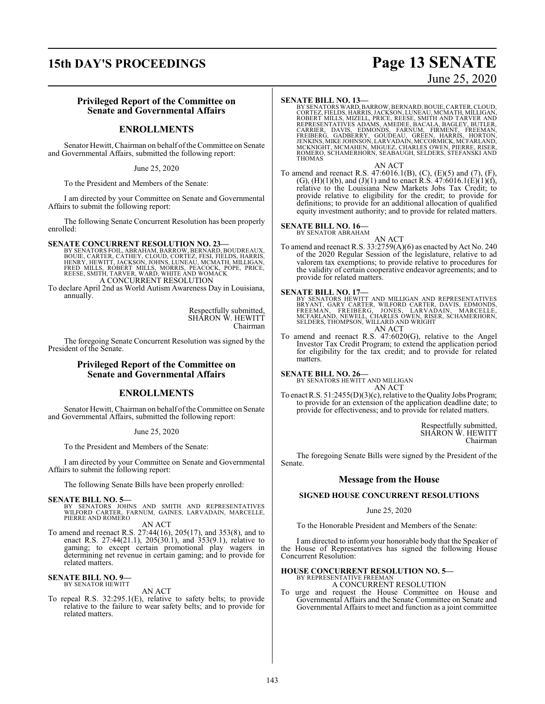# **15th DAY'S PROCEEDINGS Page 13 SENATE** June 25, 2020

#### **Privileged Report of the Committee on Senate and Governmental Affairs**

## **ENROLLMENTS**

Senator Hewitt, Chairman on behalf ofthe Committee on Senate and Governmental Affairs, submitted the following report:

June 25, 2020

To the President and Members of the Senate:

I am directed by your Committee on Senate and Governmental Affairs to submit the following report:

The following Senate Concurrent Resolution has been properly enrolled:

#### **SENATE CONCURRENT RESOLUTION NO. 23—**

BY SENATORS FOIL, ABRAHAM, BARROW, BERNARD, BOUDREAUX,<br>BOUIE, CARTER, CATHEY, CLOUD, CORTEZ, FESI, FIELDS, HARRIS,<br>HENRY, HEWITT, JACKSON, JOHNS, LUNEAU, MCMATH, MILLIGAN,<br>FRED MILLS, ROBERT MILLS, MORRIS, PEACOCK, P A CONCURRENT RESOLUTION

To declare April 2nd as World Autism Awareness Day in Louisiana, annually.

> Respectfully submitted, SHARON W. HEWITT Chairman

The foregoing Senate Concurrent Resolution was signed by the President of the Senate.

#### **Privileged Report of the Committee on Senate and Governmental Affairs**

## **ENROLLMENTS**

Senator Hewitt, Chairman on behalf of the Committee on Senate and Governmental Affairs, submitted the following report:

#### June 25, 2020

To the President and Members of the Senate:

I am directed by your Committee on Senate and Governmental Affairs to submit the following report:

The following Senate Bills have been properly enrolled:

#### **SENATE BILL NO. 5—**

BY SENATORS JOHNS AND SMITH AND REPRESENTATIVES<br>WILFORD CARTER, FARNUM, GAINES, LARVADAIN, MARCELLE,<br>PIERRE AND|ROMERO AN ACT

To amend and reenact R.S. 27:44(16), 205(17), and 353(8), and to enact R.S. 27:44(21.1), 205(30.1), and 353(9.1), relative to gaming; to except certain promotional play wagers in determining net revenue in certain gaming; and to provide for related matters.

#### **SENATE BILL NO. 9—** BY SENATOR HEWITT

AN ACT

To repeal R.S. 32:295.1(E), relative to safety belts; to provide relative to the failure to wear safety belts; and to provide for related matters.

#### **SENATE BILL NO. 13—**

BY SENATORS WARD, BARROW, BERNARD, BOUIE, CARTER, CLOUD,<br>CORTEZ, FIELDS, HARRIS, JACKSON, LUNEAU, MCMATH, MILLIGAN,<br>ROBERT MILLS, MIZELL, PRICE, REESE, SMITH AND TARVER AND<br>REPRESENTATIVES ADAMS, AMEDEE, BACALA, BAGLEY, BU

#### AN ACT

To amend and reenact R.S. 47:6016.1(B), (C), (E)(5) and (7), (F),  $(G)$ ,  $(H)(1)(b)$ , and  $(J)(1)$  and to enact R.S.  $47:6016.1(E)(1)(f)$ , relative to the Louisiana New Markets Jobs Tax Credit; to provide relative to eligibility for the credit; to provide for definitions; to provide for an additional allocation of qualified equity investment authority; and to provide for related matters.

## **SENATE BILL NO. 16—** BY SENATOR ABRAHAM

- AN ACT
- To amend and reenact R.S. 33:2759(A)(6) as enacted by Act No. 240 of the 2020 Regular Session of the legislature, relative to ad valorem tax exemptions; to provide relative to procedures for the validity of certain cooperative endeavor agreements; and to provide for related matters.

**SENATE BILL NO. 17—**<br>BY SENATORS HEWITT AND MILLIGAN AND REPRESENTATIVES<br>BRYANT, GARY CARTER, WILFORD CARTER, DAVIS, EDMONDS,<br>FREEMAN, FREIBERG, JONES, LARVADAIN, MARCELLE,<br>MCFARLAND, NEWELL, CHARLES OWEN, RISER, SCHAMERH AN ACT

To amend and reenact R.S. 47:6020(G), relative to the Angel Investor Tax Credit Program; to extend the application period for eligibility for the tax credit; and to provide for related matters.

**SENATE BILL NO. 26—** BY SENATORS HEWITT AND MILLIGAN

AN ACT

To enact R.S.  $51:2455(D)(3)(c)$ , relative to the Quality Jobs Program; to provide for an extension of the application deadline date; to provide for effectiveness; and to provide for related matters.

> Respectfully submitted, SHARON W. HEWITT Chairman

The foregoing Senate Bills were signed by the President of the Senate.

#### **Message from the House**

#### **SIGNED HOUSE CONCURRENT RESOLUTIONS**

#### June 25, 2020

To the Honorable President and Members of the Senate:

I am directed to inform your honorable body that the Speaker of the House of Representatives has signed the following House Concurrent Resolution:

# **HOUSE CONCURRENT RESOLUTION NO. 5—** BY REPRESENTATIVE FREEMAN

A CONCURRENT RESOLUTION

To urge and request the House Committee on House and Governmental Affairs and the Senate Committee on Senate and Governmental Affairs to meet and function as a joint committee